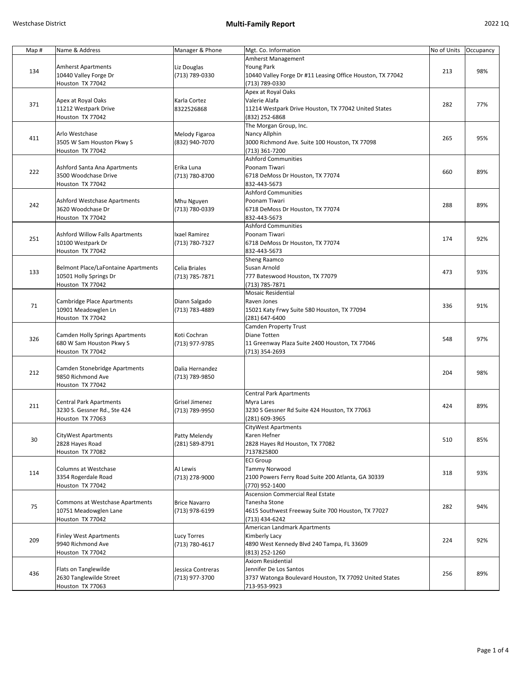| Map# | Name & Address                                    | Manager & Phone      | Mgt. Co. Information                                       | No of Units | Occupancy |
|------|---------------------------------------------------|----------------------|------------------------------------------------------------|-------------|-----------|
|      |                                                   |                      | Amherst Management                                         |             |           |
|      | <b>Amherst Apartments</b>                         | Liz Douglas          | Young Park                                                 |             | 98%       |
| 134  | 10440 Valley Forge Dr                             | (713) 789-0330       | 10440 Valley Forge Dr #11 Leasing Office Houston, TX 77042 | 213         |           |
|      | Houston TX 77042                                  |                      | (713) 789-0330                                             |             |           |
|      |                                                   |                      | Apex at Royal Oaks                                         |             |           |
|      | Apex at Royal Oaks                                | Karla Cortez         | Valerie Alafa                                              |             |           |
| 371  | 11212 Westpark Drive                              | 8322526868           | 11214 Westpark Drive Houston, TX 77042 United States       | 282         | 77%       |
|      | Houston TX 77042                                  |                      | (832) 252-6868                                             |             |           |
|      |                                                   |                      | The Morgan Group, Inc.                                     |             |           |
|      | Arlo Westchase                                    | Melody Figaroa       | Nancy Allphin                                              |             |           |
| 411  | 3505 W Sam Houston Pkwy S                         | (832) 940-7070       | 3000 Richmond Ave. Suite 100 Houston, TX 77098             | 265         | 95%       |
|      | Houston TX 77042                                  |                      | (713) 361-7200                                             |             |           |
|      |                                                   |                      | <b>Ashford Communities</b>                                 |             |           |
|      | Ashford Santa Ana Apartments                      | Erika Luna           | Poonam Tiwari                                              |             |           |
| 222  | 3500 Woodchase Drive                              | (713) 780-8700       | 6718 DeMoss Dr Houston, TX 77074                           | 660         | 89%       |
|      | Houston TX 77042                                  |                      | 832-443-5673                                               |             |           |
|      |                                                   |                      | <b>Ashford Communities</b>                                 |             |           |
|      |                                                   |                      | Poonam Tiwari                                              |             |           |
| 242  | Ashford Westchase Apartments<br>3620 Woodchase Dr | Mhu Nguyen           |                                                            | 288         | 89%       |
|      |                                                   | (713) 780-0339       | 6718 DeMoss Dr Houston, TX 77074                           |             |           |
|      | Houston TX 77042                                  |                      | 832-443-5673                                               |             |           |
|      |                                                   |                      | <b>Ashford Communities</b>                                 |             |           |
| 251  | <b>Ashford Willow Falls Apartments</b>            | Ixael Ramirez        | Poonam Tiwari                                              | 174         | 92%       |
|      | 10100 Westpark Dr                                 | (713) 780-7327       | 6718 DeMoss Dr Houston, TX 77074                           |             |           |
|      | Houston TX 77042                                  |                      | 832-443-5673                                               |             |           |
|      |                                                   |                      | Sheng Raamco                                               |             |           |
| 133  | <b>Belmont Place/LaFontaine Apartments</b>        | Celia Briales        | Susan Arnold                                               | 473         | 93%       |
|      | 10501 Holly Springs Dr                            | (713) 785-7871       | 777 Bateswood Houston, TX 77079                            |             |           |
|      | Houston TX 77042                                  |                      | (713) 785-7871                                             |             |           |
|      |                                                   |                      | <b>Mosaic Residential</b>                                  |             |           |
|      | Cambridge Place Apartments                        | Diann Salgado        | Raven Jones                                                |             |           |
| 71   | 10901 Meadowglen Ln                               | (713) 783-4889       | 15021 Katy Frwy Suite 580 Houston, TX 77094                | 336         | 91%       |
|      | Houston TX 77042                                  |                      | (281) 647-6400                                             |             |           |
|      |                                                   |                      | Camden Property Trust                                      |             |           |
|      | <b>Camden Holly Springs Apartments</b>            | Koti Cochran         | Diane Totten                                               |             |           |
| 326  | 680 W Sam Houston Pkwy S                          | (713) 977-9785       | 11 Greenway Plaza Suite 2400 Houston, TX 77046             | 548         | 97%       |
|      | Houston TX 77042                                  |                      | (713) 354-2693                                             |             |           |
|      |                                                   |                      |                                                            |             |           |
|      | Camden Stonebridge Apartments                     | Dalia Hernandez      |                                                            |             |           |
| 212  | 9850 Richmond Ave                                 |                      |                                                            | 204         | 98%       |
|      |                                                   | (713) 789-9850       |                                                            |             |           |
|      | Houston TX 77042                                  |                      |                                                            |             |           |
|      |                                                   |                      | <b>Central Park Apartments</b>                             |             |           |
| 211  | <b>Central Park Apartments</b>                    | Grisel Jimenez       | Myra Lares                                                 | 424         | 89%       |
|      | 3230 S. Gessner Rd., Ste 424                      | (713) 789-9950       | 3230 S Gessner Rd Suite 424 Houston, TX 77063              |             |           |
|      | Houston TX 77063                                  |                      | (281) 609-3965                                             |             |           |
|      |                                                   |                      | CityWest Apartments                                        |             |           |
| 30   | <b>CityWest Apartments</b>                        | Patty Melendy        | Karen Hefner                                               | 510         | 85%       |
|      | 2828 Hayes Road                                   | (281) 589-8791       | 2828 Hayes Rd Houston, TX 77082                            |             |           |
|      | Houston TX 77082                                  |                      | 7137825800                                                 |             |           |
|      |                                                   |                      | <b>ECI Group</b>                                           |             |           |
|      | <b>Columns at Westchase</b>                       | AJ Lewis             | Tammy Norwood                                              |             |           |
| 114  | 3354 Rogerdale Road                               | (713) 278-9000       | 2100 Powers Ferry Road Suite 200 Atlanta, GA 30339         | 318         | 93%       |
|      | Houston TX 77042                                  |                      | (770) 952-1400                                             |             |           |
|      |                                                   |                      | <b>Ascension Commercial Real Estate</b>                    |             |           |
| 75   | Commons at Westchase Apartments                   | <b>Brice Navarro</b> | Tanesha Stone                                              |             |           |
|      | 10751 Meadowglen Lane                             | (713) 978-6199       | 4615 Southwest Freeway Suite 700 Houston, TX 77027         | 282         | 94%       |
|      | Houston TX 77042                                  |                      | (713) 434-6242                                             |             |           |
|      |                                                   |                      | American Landmark Apartments                               |             |           |
| 209  |                                                   |                      |                                                            |             |           |
|      | <b>Finley West Apartments</b>                     | Lucy Torres          | Kimberly Lacy                                              | 224         | 92%       |
|      | 9940 Richmond Ave                                 | (713) 780-4617       | 4890 West Kennedy Blvd 240 Tampa, FL 33609                 |             |           |
|      | Houston TX 77042                                  |                      | (813) 252-1260                                             |             |           |
| 436  |                                                   |                      | Axiom Residential                                          |             |           |
|      | Flats on Tanglewilde                              | Jessica Contreras    | Jennifer De Los Santos                                     | 256         | 89%       |
|      | 2630 Tanglewilde Street                           | (713) 977-3700       | 3737 Watonga Boulevard Houston, TX 77092 United States     |             |           |
|      | Houston TX 77063                                  |                      | 713-953-9923                                               |             |           |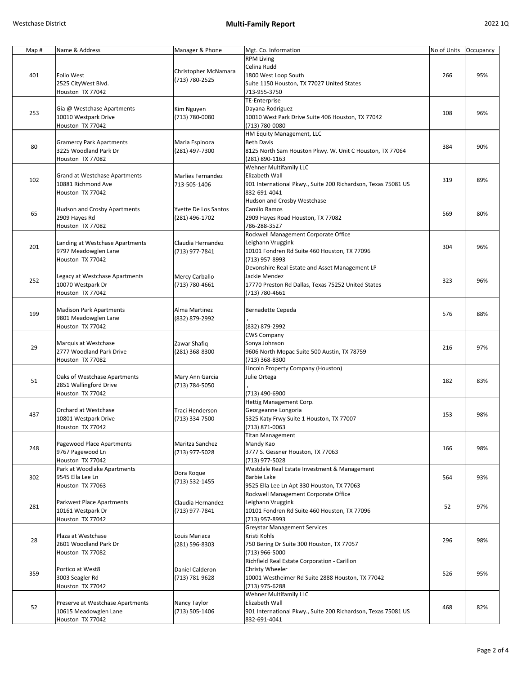| Map# | Name & Address                                    | Manager & Phone      | Mgt. Co. Information                                          | No of Units | Occupancy |
|------|---------------------------------------------------|----------------------|---------------------------------------------------------------|-------------|-----------|
|      |                                                   |                      | <b>RPM Living</b>                                             |             |           |
|      |                                                   |                      | Celina Rudd                                                   |             |           |
| 401  | Folio West                                        | Christopher McNamara | 1800 West Loop South                                          | 266         | 95%       |
|      | 2525 CityWest Blvd.                               | (713) 780-2525       | Suite 1150 Houston, TX 77027 United States                    |             |           |
|      | Houston TX 77042                                  |                      | 713-955-3750                                                  |             |           |
|      |                                                   |                      | TE-Enterprise                                                 |             |           |
|      | Gia @ Westchase Apartments                        | Kim Nguyen           | Dayana Rodriguez                                              |             |           |
| 253  | 10010 Westpark Drive                              | (713) 780-0080       | 10010 West Park Drive Suite 406 Houston, TX 77042             | 108         | 96%       |
|      | Houston TX 77042                                  |                      | (713) 780-0080                                                |             |           |
|      |                                                   |                      | HM Equity Management, LLC                                     |             |           |
|      |                                                   |                      | <b>Beth Davis</b>                                             |             |           |
| 80   | Gramercy Park Apartments<br>3225 Woodland Park Dr | Maria Espinoza       |                                                               | 384         | 90%       |
|      |                                                   | (281) 497-7300       | 8125 North Sam Houston Pkwy. W. Unit C Houston, TX 77064      |             |           |
|      | Houston TX 77082                                  |                      | (281) 890-1163                                                |             |           |
|      |                                                   |                      | <b>Wehner Multifamily LLC</b>                                 |             |           |
| 102  | Grand at Westchase Apartments                     | Marlies Fernandez    | Elizabeth Wall                                                | 319         | 89%       |
|      | 10881 Richmond Ave                                | 713-505-1406         | 901 International Pkwy., Suite 200 Richardson, Texas 75081 US |             |           |
|      | Houston TX 77042                                  |                      | 832-691-4041                                                  |             |           |
|      |                                                   |                      | Hudson and Crosby Westchase                                   |             |           |
| 65   | Hudson and Crosby Apartments                      | Yvette De Los Santos | Camilo Ramos                                                  | 569         | 80%       |
|      | 2909 Hayes Rd                                     | (281) 496-1702       | 2909 Hayes Road Houston, TX 77082                             |             |           |
|      | Houston TX 77082                                  |                      | 786-288-3527                                                  |             |           |
|      |                                                   |                      | Rockwell Management Corporate Office                          |             |           |
|      | Landing at Westchase Apartments                   | Claudia Hernandez    | Leighann Vruggink                                             |             |           |
| 201  | 9797 Meadowglen Lane                              | (713) 977-7841       | 10101 Fondren Rd Suite 460 Houston, TX 77096                  | 304         | 96%       |
|      | Houston TX 77042                                  |                      | (713) 957-8993                                                |             |           |
|      |                                                   |                      | Devonshire Real Estate and Asset Management LP                |             |           |
|      | Legacy at Westchase Apartments                    | Mercy Carballo       | Jackie Mendez                                                 |             |           |
| 252  | 10070 Westpark Dr                                 | (713) 780-4661       | 17770 Preston Rd Dallas, Texas 75252 United States            | 323         | 96%       |
|      | Houston TX 77042                                  |                      | (713) 780-4661                                                |             |           |
|      |                                                   |                      |                                                               |             |           |
|      | Madison Park Apartments                           | Alma Martinez        | Bernadette Cepeda                                             |             |           |
| 199  | 9801 Meadowglen Lane                              | (832) 879-2992       |                                                               | 576         | 88%       |
|      | Houston TX 77042                                  |                      | (832) 879-2992                                                |             |           |
|      |                                                   |                      | <b>CWS Company</b>                                            |             |           |
|      | Marquis at Westchase                              | Zawar Shafiq         | Sonya Johnson                                                 |             |           |
| 29   | 2777 Woodland Park Drive                          |                      |                                                               | 216         | 97%       |
|      |                                                   | (281) 368-8300       | 9606 North Mopac Suite 500 Austin, TX 78759                   |             |           |
|      | Houston TX 77082                                  |                      | (713) 368-8300                                                |             |           |
|      |                                                   |                      | Lincoln Property Company (Houston)                            |             |           |
| 51   | Oaks of Westchase Apartments                      | Mary Ann Garcia      | Julie Ortega                                                  | 182         | 83%       |
|      | 2851 Wallingford Drive                            | (713) 784-5050       |                                                               |             |           |
|      | Houston TX 77042                                  |                      | (713) 490-6900                                                |             |           |
|      |                                                   |                      | Hettig Management Corp.                                       |             |           |
| 437  | Orchard at Westchase                              | Traci Henderson      | Georgeanne Longoria                                           | 153         | 98%       |
|      | 10801 Westpark Drive                              | (713) 334-7500       | 5325 Katy Frwy Suite 1 Houston, TX 77007                      |             |           |
|      | Houston TX 77042                                  |                      | (713) 871-0063                                                |             |           |
|      |                                                   |                      | <b>Titan Management</b>                                       |             |           |
| 248  | Pagewood Place Apartments                         | Maritza Sanchez      | Mandy Kao                                                     | 166         | 98%       |
|      | 9767 Pagewood Ln                                  | (713) 977-5028       | 3777 S. Gessner Houston, TX 77063                             |             |           |
|      | Houston TX 77042                                  |                      | (713) 977-5028                                                |             |           |
|      | Park at Woodlake Apartments                       |                      | Westdale Real Estate Investment & Management                  |             |           |
| 302  | 9545 Ella Lee Ln                                  | Dora Roque           | Barbie Lake                                                   | 564         | 93%       |
|      | Houston TX 77063                                  | (713) 532-1455       | 9525 Ella Lee Ln Apt 330 Houston, TX 77063                    |             |           |
|      |                                                   |                      | Rockwell Management Corporate Office                          |             |           |
|      | Parkwest Place Apartments                         | Claudia Hernandez    | Leighann Vruggink                                             |             |           |
| 281  | 10161 Westpark Dr                                 | (713) 977-7841       | 10101 Fondren Rd Suite 460 Houston, TX 77096                  | 52          | 97%       |
|      | Houston TX 77042                                  |                      | (713) 957-8993                                                |             |           |
|      |                                                   |                      | <b>Greystar Management Services</b>                           |             |           |
|      | Plaza at Westchase                                | Louis Mariaca        | Kristi Kohls                                                  |             |           |
| 28   | 2601 Woodland Park Dr                             |                      | 750 Bering Dr Suite 300 Houston, TX 77057                     | 296         | 98%       |
|      |                                                   | (281) 596-8303       |                                                               |             |           |
|      | Houston TX 77082                                  |                      | (713) 966-5000                                                |             |           |
|      |                                                   |                      | Richfield Real Estate Corporation - Carillon                  |             |           |
| 359  | Portico at West8                                  | Daniel Calderon      | Christy Wheeler                                               | 526         | 95%       |
|      | 3003 Seagler Rd                                   | (713) 781-9628       | 10001 Westheimer Rd Suite 2888 Houston, TX 77042              |             |           |
|      | Houston TX 77042                                  |                      | (713) 975-6288                                                |             |           |
|      |                                                   |                      | <b>Wehner Multifamily LLC</b>                                 |             |           |
| 52   | Preserve at Westchase Apartments                  | Nancy Taylor         | Elizabeth Wall                                                | 468         | 82%       |
|      | 10615 Meadowglen Lane                             | (713) 505-1406       | 901 International Pkwy., Suite 200 Richardson, Texas 75081 US |             |           |
|      | Houston TX 77042                                  |                      | 832-691-4041                                                  |             |           |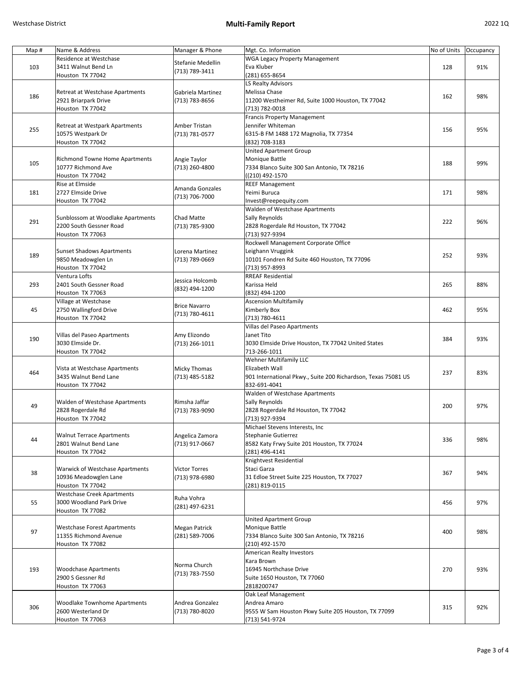| Map# | Name & Address                        | Manager & Phone      | Mgt. Co. Information                                          | No of Units | Occupancy |
|------|---------------------------------------|----------------------|---------------------------------------------------------------|-------------|-----------|
|      | Residence at Westchase                |                      | <b>WGA Legacy Property Management</b>                         |             |           |
| 103  | 3411 Walnut Bend Ln                   | Stefanie Medellin    | Eva Kluber                                                    | 128         | 91%       |
|      |                                       | (713) 789-3411       |                                                               |             |           |
|      | Houston TX 77042                      |                      | (281) 655-8654                                                |             |           |
|      |                                       |                      | LS Realty Advisors                                            |             |           |
| 186  | Retreat at Westchase Apartments       | Gabriela Martinez    | Melissa Chase                                                 | 162         | 98%       |
|      | 2921 Briarpark Drive                  | (713) 783-8656       | 11200 Westheimer Rd, Suite 1000 Houston, TX 77042             |             |           |
|      | Houston TX 77042                      |                      | (713) 782-0018                                                |             |           |
|      |                                       |                      | Francis Property Management                                   |             |           |
|      | Retreat at Westpark Apartments        | Amber Tristan        | Jennifer Whiteman                                             |             |           |
| 255  | 10575 Westpark Dr                     |                      |                                                               | 156         | 95%       |
|      |                                       | (713) 781-0577       | 6315-B FM 1488 172 Magnolia, TX 77354                         |             |           |
|      | Houston TX 77042                      |                      | (832) 708-3183                                                |             |           |
|      |                                       |                      | United Apartment Group                                        |             |           |
| 105  | <b>Richmond Towne Home Apartments</b> | Angie Taylor         | Monique Battle                                                | 188         | 99%       |
|      | 10777 Richmond Ave                    | (713) 260-4800       | 7334 Blanco Suite 300 San Antonio, TX 78216                   |             |           |
|      | Houston TX 77042                      |                      | ((210) 492-1570                                               |             |           |
|      | Rise at Elmside                       |                      | <b>REEF Management</b>                                        |             |           |
| 181  | 2727 Elmside Drive                    | Amanda Gonzales      | Yeimi Buruca                                                  | 171         | 98%       |
|      |                                       | (713) 706-7000       |                                                               |             |           |
|      | Houston TX 77042                      |                      | Invest@reepequity.com                                         |             |           |
|      |                                       |                      | Walden of Westchase Apartments                                |             |           |
| 291  | Sunblossom at Woodlake Apartments     | Chad Matte           | Sally Reynolds                                                | 222         | 96%       |
|      | 2200 South Gessner Road               | (713) 785-9300       | 2828 Rogerdale Rd Houston, TX 77042                           |             |           |
|      | Houston TX 77063                      |                      | (713) 927-9394                                                |             |           |
|      |                                       |                      | Rockwell Management Corporate Office                          |             |           |
|      | <b>Sunset Shadows Apartments</b>      | Lorena Martinez      | Leighann Vruggink                                             |             |           |
| 189  |                                       |                      |                                                               | 252         | 93%       |
|      | 9850 Meadowglen Ln                    | (713) 789-0669       | 10101 Fondren Rd Suite 460 Houston, TX 77096                  |             |           |
|      | Houston TX 77042                      |                      | (713) 957-8993                                                |             |           |
|      | Ventura Lofts                         | Jessica Holcomb      | <b>RREAF Residential</b>                                      |             |           |
| 293  | 2401 South Gessner Road               |                      | Karissa Held                                                  | 265         | 88%       |
|      | Houston TX 77063                      | (832) 494-1200       | (832) 494-1200                                                |             |           |
|      | Village at Westchase                  |                      | <b>Ascension Multifamily</b>                                  |             |           |
| 45   | 2750 Wallingford Drive                | <b>Brice Navarro</b> | Kimberly Box                                                  | 462         | 95%       |
|      |                                       | (713) 780-4611       |                                                               |             |           |
|      | Houston TX 77042                      |                      | (713) 780-4611                                                |             |           |
|      |                                       |                      | Villas del Paseo Apartments                                   |             |           |
| 190  | Villas del Paseo Apartments           | Amy Elizondo         | Janet Tito                                                    | 384         | 93%       |
|      | 3030 Elmside Dr.                      | (713) 266-1011       | 3030 Elmside Drive Houston, TX 77042 United States            |             |           |
|      | Houston TX 77042                      |                      | 713-266-1011                                                  |             |           |
|      |                                       |                      | Wehner Multifamily LLC                                        |             |           |
|      | Vista at Westchase Apartments         | <b>Micky Thomas</b>  | Elizabeth Wall                                                |             |           |
| 464  | 3435 Walnut Bend Lane                 |                      |                                                               | 237         | 83%       |
|      |                                       | (713) 485-5182       | 901 International Pkwy., Suite 200 Richardson, Texas 75081 US |             |           |
|      | Houston TX 77042                      |                      | 832-691-4041                                                  |             |           |
|      |                                       |                      | Walden of Westchase Apartments                                |             |           |
|      | <b>Walden of Westchase Apartments</b> | Rimsha Jaffar        | Sally Reynolds                                                | 200         | 97%       |
| 49   | 2828 Rogerdale Rd                     | (713) 783-9090       | 2828 Rogerdale Rd Houston, TX 77042                           |             |           |
|      | Houston TX 77042                      |                      | (713) 927-9394                                                |             |           |
|      |                                       |                      | Michael Stevens Interests, Inc                                |             |           |
|      | <b>Walnut Terrace Apartments</b>      |                      | Stephanie Gutierrez                                           |             |           |
| 44   |                                       | Angelica Zamora      |                                                               | 336         | 98%       |
|      | 2801 Walnut Bend Lane                 | (713) 917-0667       | 8582 Katy Frwy Suite 201 Houston, TX 77024                    |             |           |
|      | Houston TX 77042                      |                      | (281) 496-4141                                                |             |           |
|      |                                       |                      | Knightvest Residential                                        |             |           |
| 38   | Warwick of Westchase Apartments       | <b>Victor Torres</b> | Staci Garza                                                   |             |           |
|      | 10936 Meadowglen Lane                 | (713) 978-6980       | 31 Edloe Street Suite 225 Houston, TX 77027                   | 367         | 94%       |
|      | Houston TX 77042                      |                      | (281) 819-0115                                                |             |           |
|      | <b>Westchase Creek Apartments</b>     |                      |                                                               |             |           |
|      |                                       | Ruha Vohra           |                                                               |             |           |
| 55   | 3000 Woodland Park Drive              | (281) 497-6231       |                                                               | 456         | 97%       |
|      | Houston TX 77082                      |                      |                                                               |             |           |
| 97   |                                       |                      | United Apartment Group                                        |             |           |
|      | <b>Westchase Forest Apartments</b>    | <b>Megan Patrick</b> | Monique Battle                                                |             |           |
|      | 11355 Richmond Avenue                 | (281) 589-7006       | 7334 Blanco Suite 300 San Antonio, TX 78216                   | 400         | 98%       |
|      | Houston TX 77082                      |                      | (210) 492-1570                                                |             |           |
|      |                                       |                      | American Realty Investors                                     |             |           |
| 193  |                                       |                      |                                                               |             |           |
|      |                                       | Norma Church         | Kara Brown                                                    |             |           |
|      | <b>Woodchase Apartments</b>           | (713) 783-7550       | 16945 Northchase Drive                                        | 270         | 93%       |
|      | 2900 S Gessner Rd                     |                      | Suite 1650 Houston, TX 77060                                  |             |           |
|      | Houston TX 77063                      |                      | 2818200747                                                    |             |           |
|      |                                       |                      | Oak Leaf Management                                           |             |           |
|      | <b>Woodlake Townhome Apartments</b>   | Andrea Gonzalez      | Andrea Amaro                                                  |             |           |
| 306  | 2600 Westerland Dr                    |                      |                                                               | 315         | 92%       |
|      |                                       | (713) 780-8020       | 9555 W Sam Houston Pkwy Suite 205 Houston, TX 77099           |             |           |
|      | Houston TX 77063                      |                      | (713) 541-9724                                                |             |           |